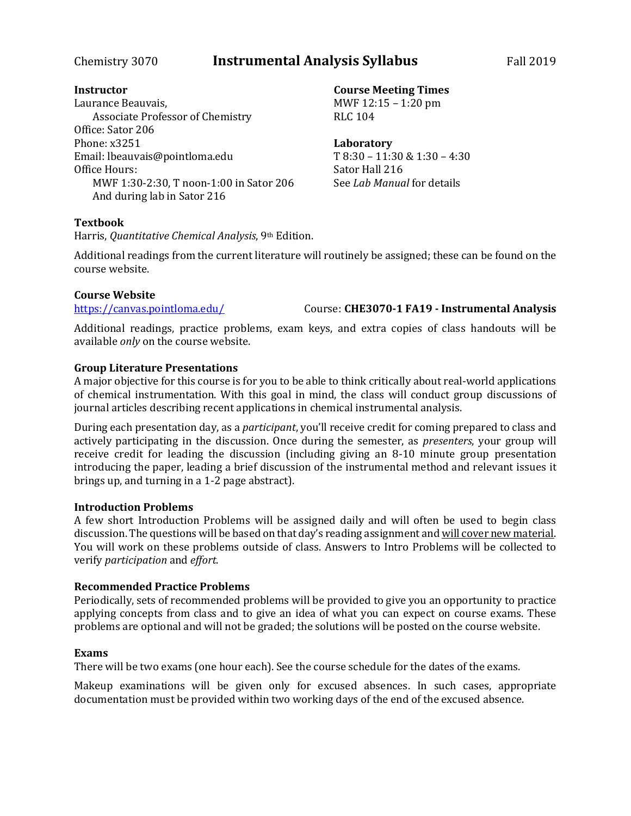# Chemistry 3070 **Instrumental Analysis Syllabus** Fall 2019

# **Instructor**

Laurance Beauvais, Associate Professor of Chemistry Office: Sator 206 Phone: x3251 Email: lbeauvais@pointloma.edu Office Hours: MWF 1:30-2:30, T noon-1:00 in Sator 206 And during lab in Sator 216

# **Textbook**

Harris, *Quantitative Chemical Analysis*, 9th Edition.

Additional readings from the current literature will routinely be assigned; these can be found on the course website.

## **Course Website**

<https://canvas.pointloma.edu/> Course: **CHE3070-1 FA19 - Instrumental Analysis**

Additional readings, practice problems, exam keys, and extra copies of class handouts will be available *only* on the course website.

# **Group Literature Presentations**

A major objective for this course is for you to be able to think critically about real-world applications of chemical instrumentation. With this goal in mind, the class will conduct group discussions of journal articles describing recent applications in chemical instrumental analysis.

During each presentation day, as a *participant*, you'll receive credit for coming prepared to class and actively participating in the discussion. Once during the semester, as *presenters*, your group will receive credit for leading the discussion (including giving an 8-10 minute group presentation introducing the paper, leading a brief discussion of the instrumental method and relevant issues it brings up, and turning in a 1-2 page abstract).

# **Introduction Problems**

A few short Introduction Problems will be assigned daily and will often be used to begin class discussion. The questions will be based on that day's reading assignment and will cover new material. You will work on these problems outside of class. Answers to Intro Problems will be collected to verify *participation* and *effort*.

# **Recommended Practice Problems**

Periodically, sets of recommended problems will be provided to give you an opportunity to practice applying concepts from class and to give an idea of what you can expect on course exams. These problems are optional and will not be graded; the solutions will be posted on the course website.

### **Exams**

There will be two exams (one hour each). See the course schedule for the dates of the exams.

Makeup examinations will be given only for excused absences. In such cases, appropriate documentation must be provided within two working days of the end of the excused absence.

### **Course Meeting Times** MWF 12:15 – 1:20 pm RLC 104

**Laboratory**

T 8:30 – 11:30 & 1:30 – 4:30 Sator Hall 216 See *Lab Manual* for details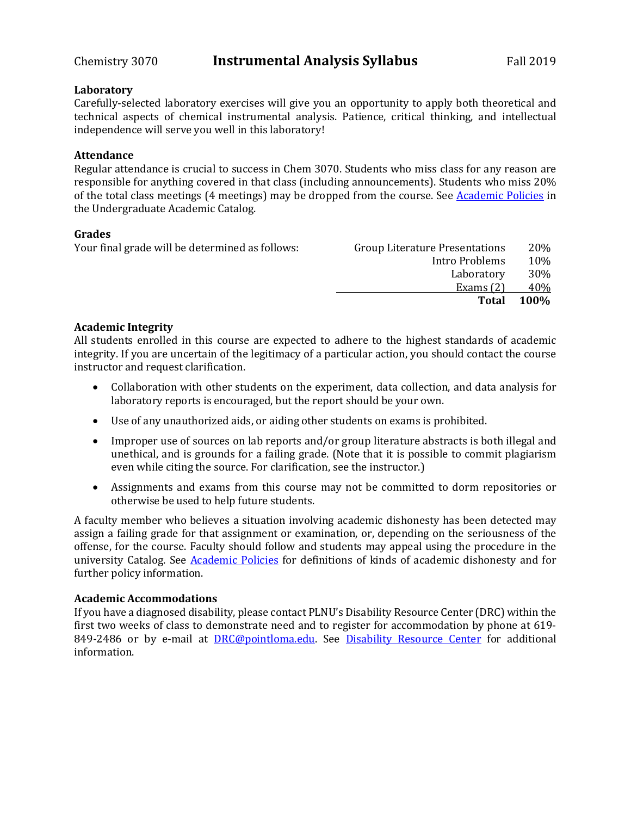## **Laboratory**

Carefully-selected laboratory exercises will give you an opportunity to apply both theoretical and technical aspects of chemical instrumental analysis. Patience, critical thinking, and intellectual independence will serve you well in this laboratory!

# **Attendance**

Regular attendance is crucial to success in Chem 3070. Students who miss class for any reason are responsible for anything covered in that class (including announcements). Students who miss 20% of the total class meetings (4 meetings) may be dropped from the course. See [Academic Policies](http://catalog.pointloma.edu/content.php?catoid=18&navoid=1278) in the Undergraduate Academic Catalog.

# **Grades**

| Your final grade will be determined as follows: | <b>Group Literature Presentations</b> | 20%         |
|-------------------------------------------------|---------------------------------------|-------------|
|                                                 | Intro Problems                        | 10%         |
|                                                 | Laboratory                            | 30%         |
|                                                 | Exams $(2)$                           | 40%         |
|                                                 | <b>Total</b>                          | <b>100%</b> |

# **Academic Integrity**

All students enrolled in this course are expected to adhere to the highest standards of academic integrity. If you are uncertain of the legitimacy of a particular action, you should contact the course instructor and request clarification.

- Collaboration with other students on the experiment, data collection, and data analysis for laboratory reports is encouraged, but the report should be your own.
- Use of any unauthorized aids, or aiding other students on exams is prohibited.
- Improper use of sources on lab reports and/or group literature abstracts is both illegal and unethical, and is grounds for a failing grade. (Note that it is possible to commit plagiarism even while citing the source. For clarification, see the instructor.)
- Assignments and exams from this course may not be committed to dorm repositories or otherwise be used to help future students.

A faculty member who believes a situation involving academic dishonesty has been detected may assign a failing grade for that assignment or examination, or, depending on the seriousness of the offense, for the course. Faculty should follow and students may appeal using the procedure in the university Catalog. See [Academic Policies](http://catalog.pointloma.edu/content.php?catoid=18&navoid=1278) for definitions of kinds of academic dishonesty and for further policy information.

# **Academic Accommodations**

If you have a diagnosed disability, please contact PLNU's Disability Resource Center (DRC) within the first two weeks of class to demonstrate need and to register for accommodation by phone at 619- 849-2486 or by e-mail at **DRC@pointloma.edu**. See **[Disability Resource Center](http://www.pointloma.edu/experience/offices/administrative-offices/academic-advising-office/disability-resource-center)** for additional information.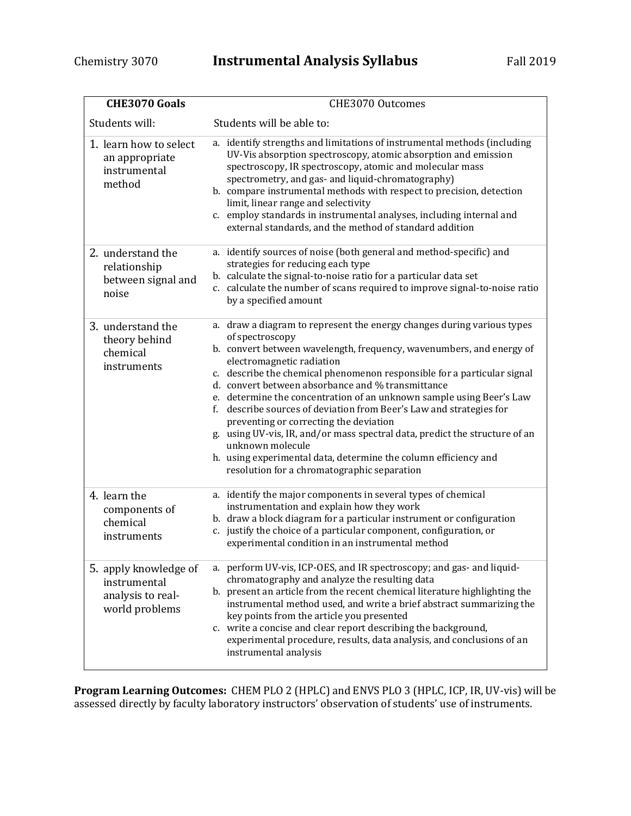| <b>CHE3070 Goals</b>                                                         | CHE3070 Outcomes                                                                                                                                                                                                                                                                                                                                                                                                                                                                                                                                                                                                                                                                                                                             |
|------------------------------------------------------------------------------|----------------------------------------------------------------------------------------------------------------------------------------------------------------------------------------------------------------------------------------------------------------------------------------------------------------------------------------------------------------------------------------------------------------------------------------------------------------------------------------------------------------------------------------------------------------------------------------------------------------------------------------------------------------------------------------------------------------------------------------------|
| Students will:                                                               | Students will be able to:                                                                                                                                                                                                                                                                                                                                                                                                                                                                                                                                                                                                                                                                                                                    |
| 1. learn how to select<br>an appropriate<br>instrumental<br>method           | a. identify strengths and limitations of instrumental methods (including<br>UV-Vis absorption spectroscopy, atomic absorption and emission<br>spectroscopy, IR spectroscopy, atomic and molecular mass<br>spectrometry, and gas- and liquid-chromatography)<br>b. compare instrumental methods with respect to precision, detection<br>limit, linear range and selectivity<br>c. employ standards in instrumental analyses, including internal and<br>external standards, and the method of standard addition                                                                                                                                                                                                                                |
| 2. understand the<br>relationship<br>between signal and<br>noise             | a. identify sources of noise (both general and method-specific) and<br>strategies for reducing each type<br>b. calculate the signal-to-noise ratio for a particular data set<br>c. calculate the number of scans required to improve signal-to-noise ratio<br>by a specified amount                                                                                                                                                                                                                                                                                                                                                                                                                                                          |
| 3. understand the<br>theory behind<br>chemical<br>instruments                | a. draw a diagram to represent the energy changes during various types<br>of spectroscopy<br>b. convert between wavelength, frequency, wavenumbers, and energy of<br>electromagnetic radiation<br>c. describe the chemical phenomenon responsible for a particular signal<br>d. convert between absorbance and % transmittance<br>e. determine the concentration of an unknown sample using Beer's Law<br>f. describe sources of deviation from Beer's Law and strategies for<br>preventing or correcting the deviation<br>g. using UV-vis, IR, and/or mass spectral data, predict the structure of an<br>unknown molecule<br>h. using experimental data, determine the column efficiency and<br>resolution for a chromatographic separation |
| 4. learn the<br>components of<br>chemical<br>instruments                     | a. identify the major components in several types of chemical<br>instrumentation and explain how they work<br>b. draw a block diagram for a particular instrument or configuration<br>c. justify the choice of a particular component, configuration, or<br>experimental condition in an instrumental method                                                                                                                                                                                                                                                                                                                                                                                                                                 |
| 5. apply knowledge of<br>instrumental<br>analysis to real-<br>world problems | a. perform UV-vis, ICP-OES, and IR spectroscopy; and gas- and liquid-<br>chromatography and analyze the resulting data<br>b. present an article from the recent chemical literature highlighting the<br>instrumental method used, and write a brief abstract summarizing the<br>key points from the article you presented<br>c. write a concise and clear report describing the background,<br>experimental procedure, results, data analysis, and conclusions of an<br>instrumental analysis                                                                                                                                                                                                                                                |

**Program Learning Outcomes:** CHEM PLO 2 (HPLC) and ENVS PLO 3 (HPLC, ICP, IR, UV-vis) will be assessed directly by faculty laboratory instructors' observation of students' use of instruments.